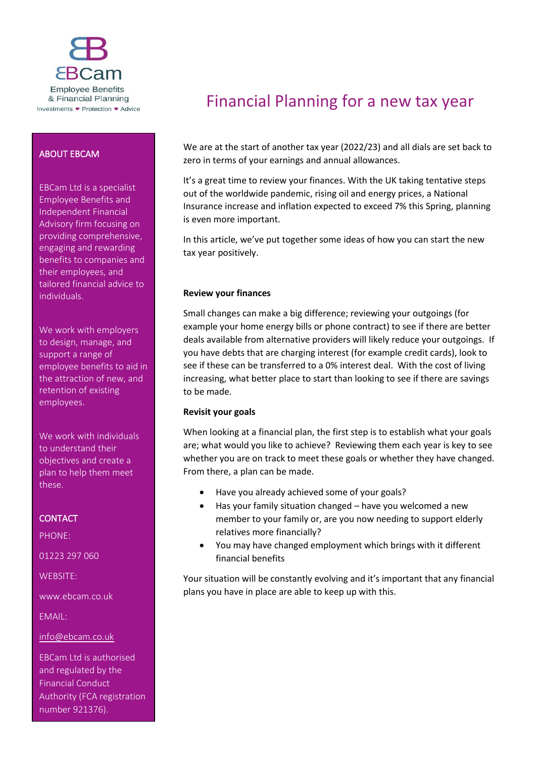

# ABOUT EBCAM

EBCam Ltd is a specialist Employee Benefits and Independent Financial Advisory firm focusing on providing comprehensive, engaging and rewarding benefits to companies and their employees, and tailored financial advice to individuals.

We work with employers to design, manage, and support a range of employee benefits to aid in the attraction of new, and retention of existing employees.

We work with individuals to understand their objectives and create a plan to help them meet these.

# **CONTACT**

PHONE:

01223 297 060

WEBSITE:

www.ebcam.co.uk

EMAIL:

[info@ebcam.co.uk](mailto:info@ebcam.co.uk)

EBCam Ltd is authorised and regulated by the Financial Conduct Authority (FCA registration number 921376).

# Financial Planning for a new tax year

We are at the start of another tax year (2022/23) and all dials are set back to zero in terms of your earnings and annual allowances.

It's a great time to review your finances. With the UK taking tentative steps out of the worldwide pandemic, rising oil and energy prices, a National Insurance increase and inflation expected to exceed 7% this Spring, planning is even more important.

In this article, we've put together some ideas of how you can start the new tax year positively.

## **Review your finances**

Small changes can make a big difference; reviewing your outgoings (for example your home energy bills or phone contract) to see if there are better deals available from alternative providers will likely reduce your outgoings. If you have debts that are charging interest (for example credit cards), look to see if these can be transferred to a 0% interest deal. With the cost of living increasing, what better place to start than looking to see if there are savings to be made.

## **Revisit your goals**

When looking at a financial plan, the first step is to establish what your goals are; what would you like to achieve? Reviewing them each year is key to see whether you are on track to meet these goals or whether they have changed. From there, a plan can be made.

- Have you already achieved some of your goals?
- Has your family situation changed have you welcomed a new member to your family or, are you now needing to support elderly relatives more financially?
- You may have changed employment which brings with it different financial benefits

Your situation will be constantly evolving and it's important that any financial plans you have in place are able to keep up with this.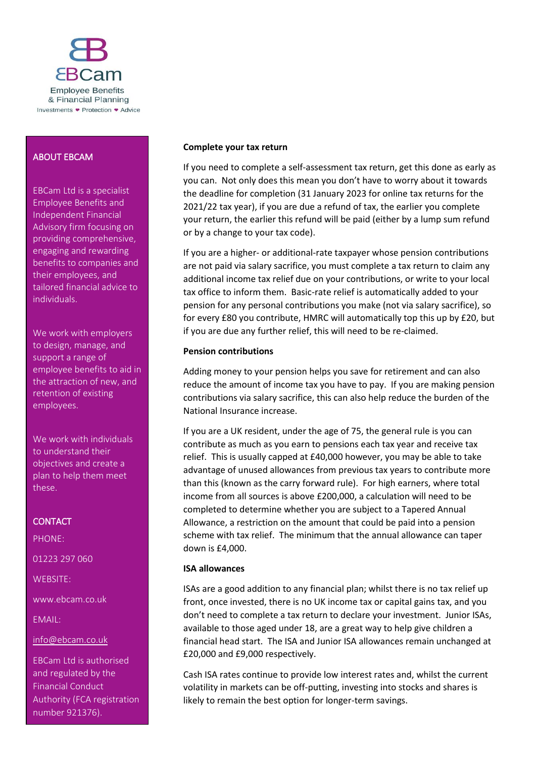

## ABOUT EBCAM

EBCam Ltd is a specialist Employee Benefits and Independent Financial Advisory firm focusing on providing comprehensive, engaging and rewarding benefits to companies and their employees, and tailored financial advice to individuals.

We work with employers to design, manage, and support a range of employee benefits to aid in the attraction of new, and retention of existing employees.

We work with individuals to understand their objectives and create a plan to help them meet these.

# **CONTACT**

PHONE: 01223 297 060 WEBSITE: www.ebcam.co.uk

EMAIL:

[info@ebcam.co.uk](mailto:info@ebcam.co.uk)

EBCam Ltd is authorised and regulated by the Financial Conduct Authority (FCA registration number 921376).

## **Complete your tax return**

If you need to complete a self-assessment tax return, get this done as early as you can. Not only does this mean you don't have to worry about it towards the deadline for completion (31 January 2023 for online tax returns for the 2021/22 tax year), if you are due a refund of tax, the earlier you complete your return, the earlier this refund will be paid (either by a lump sum refund or by a change to your tax code).

If you are a higher- or additional-rate taxpayer whose pension contributions are not paid via salary sacrifice, you must complete a tax return to claim any additional income tax relief due on your contributions, or write to your local tax office to inform them. Basic-rate relief is automatically added to your pension for any personal contributions you make (not via salary sacrifice), so for every £80 you contribute, HMRC will automatically top this up by £20, but if you are due any further relief, this will need to be re-claimed.

## **Pension contributions**

Adding money to your pension helps you save for retirement and can also reduce the amount of income tax you have to pay. If you are making pension contributions via salary sacrifice, this can also help reduce the burden of the National Insurance increase.

If you are a UK resident, under the age of 75, the general rule is you can contribute as much as you earn to pensions each tax year and receive tax relief. This is usually capped at £40,000 however, you may be able to take advantage of unused allowances from previous tax years to contribute more than this (known as the carry forward rule). For high earners, where total income from all sources is above £200,000, a calculation will need to be completed to determine whether you are subject to a Tapered Annual Allowance, a restriction on the amount that could be paid into a pension scheme with tax relief. The minimum that the annual allowance can taper down is £4,000.

## **ISA allowances**

ISAs are a good addition to any financial plan; whilst there is no tax relief up front, once invested, there is no UK income tax or capital gains tax, and you don't need to complete a tax return to declare your investment. Junior ISAs, available to those aged under 18, are a great way to help give children a financial head start. The ISA and Junior ISA allowances remain unchanged at £20,000 and £9,000 respectively.

Cash ISA rates continue to provide low interest rates and, whilst the current volatility in markets can be off-putting, investing into stocks and shares is likely to remain the best option for longer-term savings.